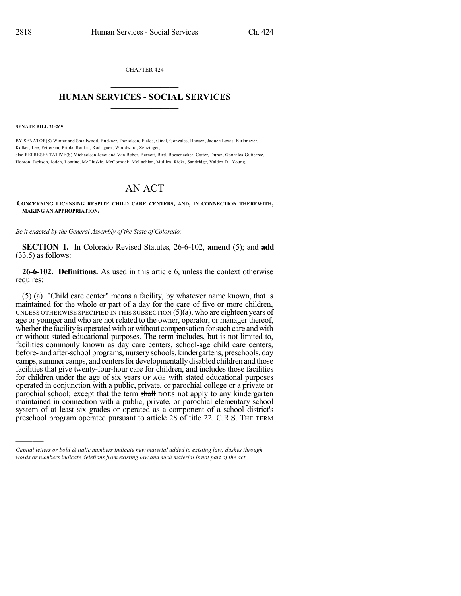CHAPTER 424  $\overline{\phantom{a}}$  . The set of the set of the set of the set of the set of the set of the set of the set of the set of the set of the set of the set of the set of the set of the set of the set of the set of the set of the set o

## **HUMAN SERVICES - SOCIAL SERVICES**  $\frac{1}{2}$  ,  $\frac{1}{2}$  ,  $\frac{1}{2}$  ,  $\frac{1}{2}$  ,  $\frac{1}{2}$  ,  $\frac{1}{2}$  ,  $\frac{1}{2}$

**SENATE BILL 21-269**

)))))

BY SENATOR(S) Winter and Smallwood, Buckner, Danielson, Fields, Ginal, Gonzales, Hansen, Jaquez Lewis, Kirkmeyer, Kolker, Lee, Pettersen, Priola, Rankin, Rodriguez, Woodward, Zenzinger; also REPRESENTATIVE(S) Michaelson Jenet and Van Beber, Bernett, Bird, Boesenecker, Cutter, Duran, Gonzales-Gutierrez, Hooton, Jackson, Jodeh, Lontine, McCluskie, McCormick, McLachlan, Mullica, Ricks, Sandridge, Valdez D., Young.

## AN ACT

**CONCERNING LICENSING RESPITE CHILD CARE CENTERS, AND, IN CONNECTION THEREWITH, MAKING AN APPROPRIATION.**

*Be it enacted by the General Assembly of the State of Colorado:*

**SECTION 1.** In Colorado Revised Statutes, 26-6-102, **amend** (5); and **add** (33.5) as follows:

**26-6-102. Definitions.** As used in this article 6, unless the context otherwise requires:

(5) (a) "Child care center" means a facility, by whatever name known, that is maintained for the whole or part of a day for the care of five or more children, UNLESS OTHERWISE SPECIFIED IN THIS SUBSECTION  $(5)(a)$ , who are eighteen years of age or younger and who are not related to the owner, operator, or manager thereof, whether the facility is operated with or without compensation for such care and with or without stated educational purposes. The term includes, but is not limited to, facilities commonly known as day care centers, school-age child care centers, before- and after-school programs, nursery schools, kindergartens, preschools, day camps, summer camps, and centers for developmentally disabled children and those facilities that give twenty-four-hour care for children, and includes those facilities for children under the age of six years OF AGE with stated educational purposes operated in conjunction with a public, private, or parochial college or a private or parochial school; except that the term shall DOES not apply to any kindergarten maintained in connection with a public, private, or parochial elementary school system of at least six grades or operated as a component of a school district's preschool program operated pursuant to article 28 of title 22. C.R.S. THE TERM

*Capital letters or bold & italic numbers indicate new material added to existing law; dashes through words or numbers indicate deletions from existing law and such material is not part of the act.*